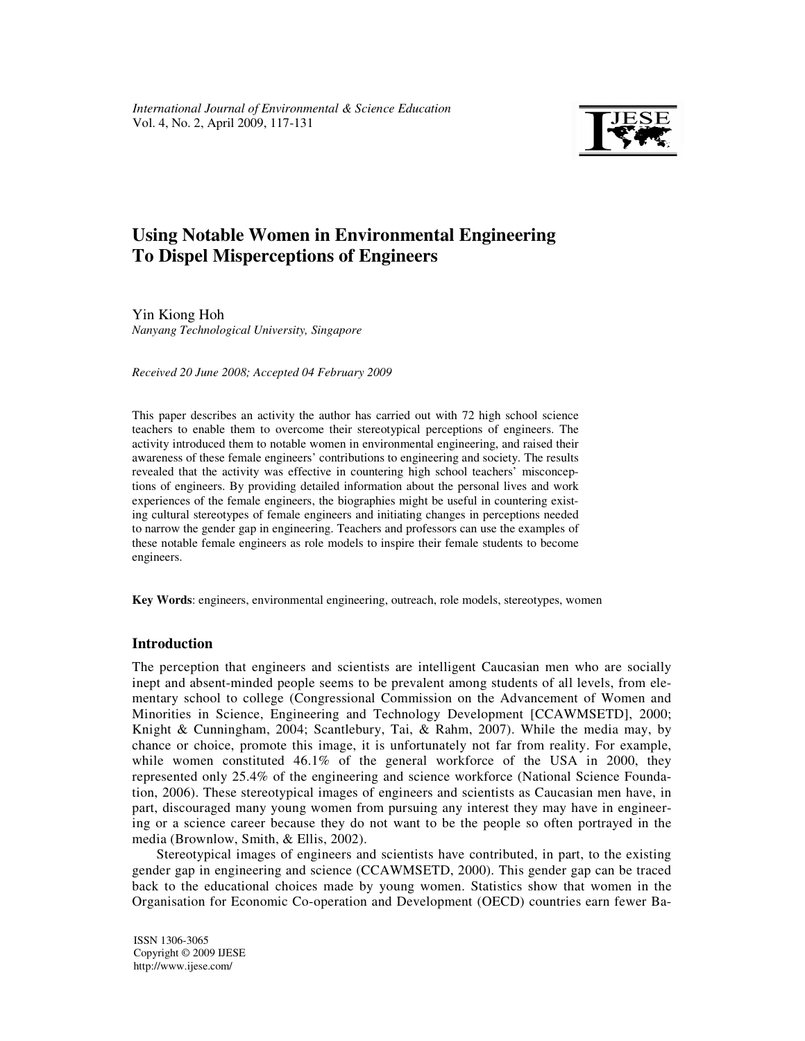

# **Using Notable Women in Environmental Engineering To Dispel Misperceptions of Engineers**

Yin Kiong Hoh *Nanyang Technological University, Singapore*

*Received 20 June 2008; Accepted 04 February 2009* 

This paper describes an activity the author has carried out with 72 high school science teachers to enable them to overcome their stereotypical perceptions of engineers. The activity introduced them to notable women in environmental engineering, and raised their awareness of these female engineers' contributions to engineering and society. The results revealed that the activity was effective in countering high school teachers' misconceptions of engineers. By providing detailed information about the personal lives and work experiences of the female engineers, the biographies might be useful in countering existing cultural stereotypes of female engineers and initiating changes in perceptions needed to narrow the gender gap in engineering. Teachers and professors can use the examples of these notable female engineers as role models to inspire their female students to become engineers.

**Key Words**: engineers, environmental engineering, outreach, role models, stereotypes, women

# **Introduction**

The perception that engineers and scientists are intelligent Caucasian men who are socially inept and absent-minded people seems to be prevalent among students of all levels, from elementary school to college (Congressional Commission on the Advancement of Women and Minorities in Science, Engineering and Technology Development [CCAWMSETD], 2000; Knight & Cunningham, 2004; Scantlebury, Tai, & Rahm, 2007). While the media may, by chance or choice, promote this image, it is unfortunately not far from reality. For example, while women constituted 46.1% of the general workforce of the USA in 2000, they represented only 25.4% of the engineering and science workforce (National Science Foundation, 2006). These stereotypical images of engineers and scientists as Caucasian men have, in part, discouraged many young women from pursuing any interest they may have in engineering or a science career because they do not want to be the people so often portrayed in the media (Brownlow, Smith, & Ellis, 2002).

Stereotypical images of engineers and scientists have contributed, in part, to the existing gender gap in engineering and science (CCAWMSETD, 2000). This gender gap can be traced back to the educational choices made by young women. Statistics show that women in the Organisation for Economic Co-operation and Development (OECD) countries earn fewer Ba-

ISSN 1306-3065 Copyright © 2009 IJESE http://www.ijese.com/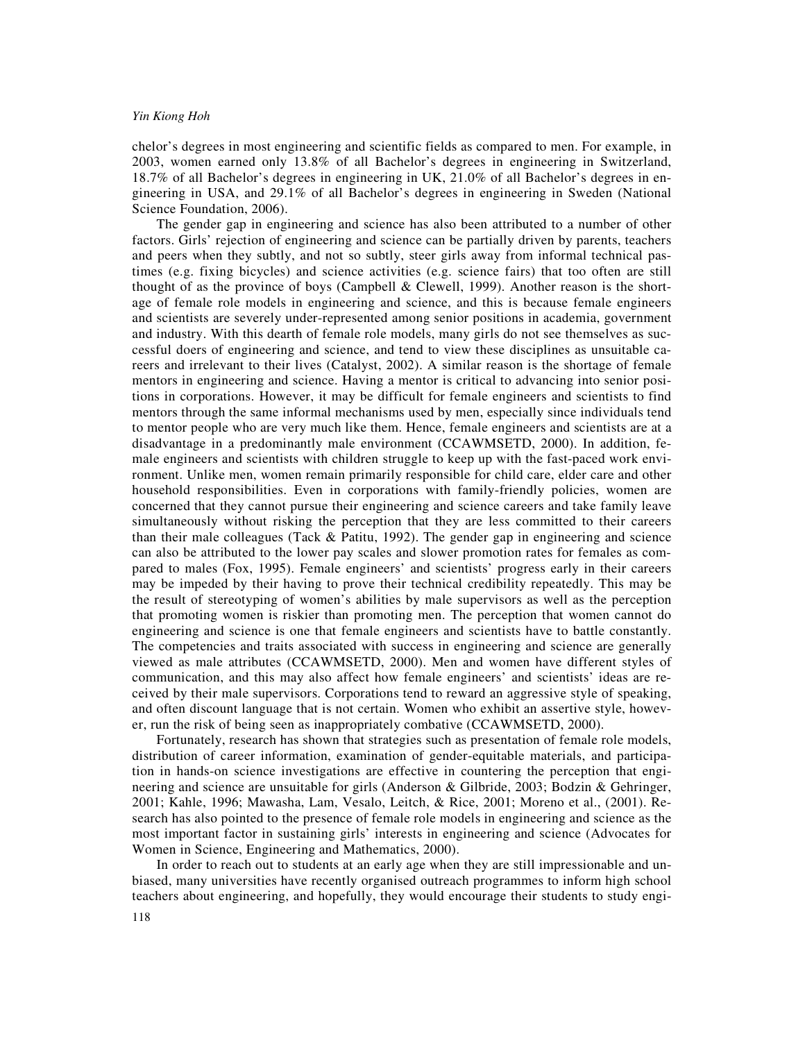chelor's degrees in most engineering and scientific fields as compared to men. For example, in 2003, women earned only 13.8% of all Bachelor's degrees in engineering in Switzerland, 18.7% of all Bachelor's degrees in engineering in UK, 21.0% of all Bachelor's degrees in engineering in USA, and 29.1% of all Bachelor's degrees in engineering in Sweden (National Science Foundation, 2006).

The gender gap in engineering and science has also been attributed to a number of other factors. Girls' rejection of engineering and science can be partially driven by parents, teachers and peers when they subtly, and not so subtly, steer girls away from informal technical pastimes (e.g. fixing bicycles) and science activities (e.g. science fairs) that too often are still thought of as the province of boys (Campbell & Clewell, 1999). Another reason is the shortage of female role models in engineering and science, and this is because female engineers and scientists are severely under-represented among senior positions in academia, government and industry. With this dearth of female role models, many girls do not see themselves as successful doers of engineering and science, and tend to view these disciplines as unsuitable careers and irrelevant to their lives (Catalyst, 2002). A similar reason is the shortage of female mentors in engineering and science. Having a mentor is critical to advancing into senior positions in corporations. However, it may be difficult for female engineers and scientists to find mentors through the same informal mechanisms used by men, especially since individuals tend to mentor people who are very much like them. Hence, female engineers and scientists are at a disadvantage in a predominantly male environment (CCAWMSETD, 2000). In addition, female engineers and scientists with children struggle to keep up with the fast-paced work environment. Unlike men, women remain primarily responsible for child care, elder care and other household responsibilities. Even in corporations with family-friendly policies, women are concerned that they cannot pursue their engineering and science careers and take family leave simultaneously without risking the perception that they are less committed to their careers than their male colleagues (Tack & Patitu, 1992). The gender gap in engineering and science can also be attributed to the lower pay scales and slower promotion rates for females as compared to males (Fox, 1995). Female engineers' and scientists' progress early in their careers may be impeded by their having to prove their technical credibility repeatedly. This may be the result of stereotyping of women's abilities by male supervisors as well as the perception that promoting women is riskier than promoting men. The perception that women cannot do engineering and science is one that female engineers and scientists have to battle constantly. The competencies and traits associated with success in engineering and science are generally viewed as male attributes (CCAWMSETD, 2000). Men and women have different styles of communication, and this may also affect how female engineers' and scientists' ideas are received by their male supervisors. Corporations tend to reward an aggressive style of speaking, and often discount language that is not certain. Women who exhibit an assertive style, however, run the risk of being seen as inappropriately combative (CCAWMSETD, 2000).

Fortunately, research has shown that strategies such as presentation of female role models, distribution of career information, examination of gender-equitable materials, and participation in hands-on science investigations are effective in countering the perception that engineering and science are unsuitable for girls (Anderson & Gilbride, 2003; Bodzin & Gehringer, 2001; Kahle, 1996; Mawasha, Lam, Vesalo, Leitch, & Rice, 2001; Moreno et al., (2001). Research has also pointed to the presence of female role models in engineering and science as the most important factor in sustaining girls' interests in engineering and science (Advocates for Women in Science, Engineering and Mathematics, 2000).

In order to reach out to students at an early age when they are still impressionable and unbiased, many universities have recently organised outreach programmes to inform high school teachers about engineering, and hopefully, they would encourage their students to study engi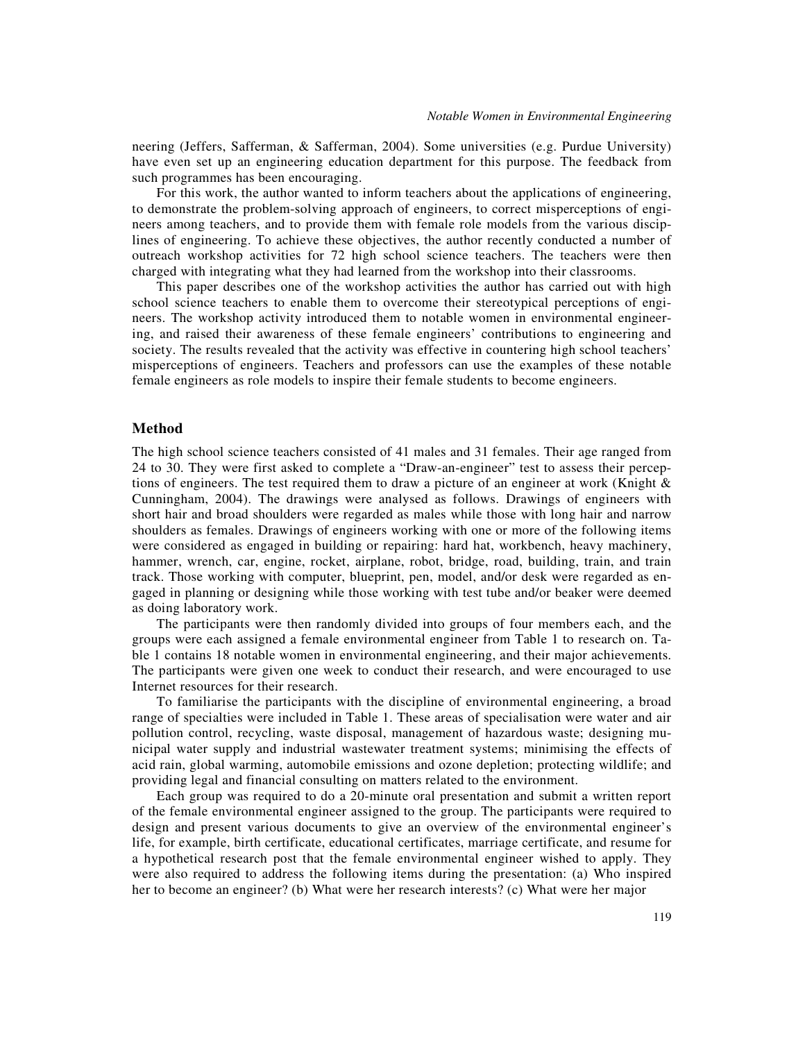neering (Jeffers, Safferman, & Safferman, 2004). Some universities (e.g. Purdue University) have even set up an engineering education department for this purpose. The feedback from such programmes has been encouraging.

For this work, the author wanted to inform teachers about the applications of engineering, to demonstrate the problem-solving approach of engineers, to correct misperceptions of engineers among teachers, and to provide them with female role models from the various disciplines of engineering. To achieve these objectives, the author recently conducted a number of outreach workshop activities for 72 high school science teachers. The teachers were then charged with integrating what they had learned from the workshop into their classrooms.

This paper describes one of the workshop activities the author has carried out with high school science teachers to enable them to overcome their stereotypical perceptions of engineers. The workshop activity introduced them to notable women in environmental engineering, and raised their awareness of these female engineers' contributions to engineering and society. The results revealed that the activity was effective in countering high school teachers' misperceptions of engineers. Teachers and professors can use the examples of these notable female engineers as role models to inspire their female students to become engineers.

### **Method**

The high school science teachers consisted of 41 males and 31 females. Their age ranged from 24 to 30. They were first asked to complete a "Draw-an-engineer" test to assess their perceptions of engineers. The test required them to draw a picture of an engineer at work (Knight  $\&$ Cunningham, 2004). The drawings were analysed as follows. Drawings of engineers with short hair and broad shoulders were regarded as males while those with long hair and narrow shoulders as females. Drawings of engineers working with one or more of the following items were considered as engaged in building or repairing: hard hat, workbench, heavy machinery, hammer, wrench, car, engine, rocket, airplane, robot, bridge, road, building, train, and train track. Those working with computer, blueprint, pen, model, and/or desk were regarded as engaged in planning or designing while those working with test tube and/or beaker were deemed as doing laboratory work.

The participants were then randomly divided into groups of four members each, and the groups were each assigned a female environmental engineer from Table 1 to research on. Table 1 contains 18 notable women in environmental engineering, and their major achievements. The participants were given one week to conduct their research, and were encouraged to use Internet resources for their research.

To familiarise the participants with the discipline of environmental engineering, a broad range of specialties were included in Table 1. These areas of specialisation were water and air pollution control, recycling, waste disposal, management of hazardous waste; designing municipal water supply and industrial wastewater treatment systems; minimising the effects of acid rain, global warming, automobile emissions and ozone depletion; protecting wildlife; and providing legal and financial consulting on matters related to the environment.

Each group was required to do a 20-minute oral presentation and submit a written report of the female environmental engineer assigned to the group. The participants were required to design and present various documents to give an overview of the environmental engineer's life, for example, birth certificate, educational certificates, marriage certificate, and resume for a hypothetical research post that the female environmental engineer wished to apply. They were also required to address the following items during the presentation: (a) Who inspired her to become an engineer? (b) What were her research interests? (c) What were her major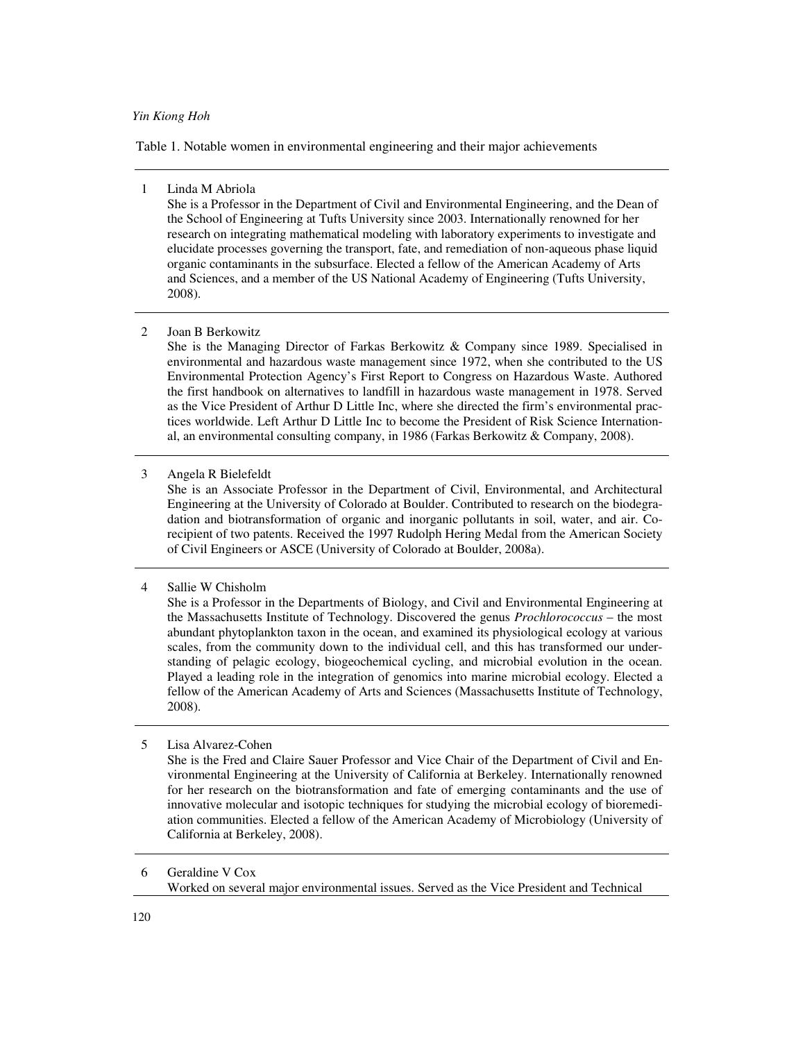Table 1. Notable women in environmental engineering and their major achievements

#### 1 Linda M Abriola

She is a Professor in the Department of Civil and Environmental Engineering, and the Dean of the School of Engineering at Tufts University since 2003. Internationally renowned for her research on integrating mathematical modeling with laboratory experiments to investigate and elucidate processes governing the transport, fate, and remediation of non-aqueous phase liquid organic contaminants in the subsurface. Elected a fellow of the American Academy of Arts and Sciences, and a member of the US National Academy of Engineering (Tufts University, 2008).

#### 2 Joan B Berkowitz

She is the Managing Director of Farkas Berkowitz & Company since 1989. Specialised in environmental and hazardous waste management since 1972, when she contributed to the US Environmental Protection Agency's First Report to Congress on Hazardous Waste. Authored the first handbook on alternatives to landfill in hazardous waste management in 1978. Served as the Vice President of Arthur D Little Inc, where she directed the firm's environmental practices worldwide. Left Arthur D Little Inc to become the President of Risk Science International, an environmental consulting company, in 1986 (Farkas Berkowitz & Company, 2008).

3 Angela R Bielefeldt

She is an Associate Professor in the Department of Civil, Environmental, and Architectural Engineering at the University of Colorado at Boulder. Contributed to research on the biodegradation and biotransformation of organic and inorganic pollutants in soil, water, and air. Corecipient of two patents. Received the 1997 Rudolph Hering Medal from the American Society of Civil Engineers or ASCE (University of Colorado at Boulder, 2008a).

# 4 Sallie W Chisholm

She is a Professor in the Departments of Biology, and Civil and Environmental Engineering at the Massachusetts Institute of Technology. Discovered the genus *Prochlorococcus* – the most abundant phytoplankton taxon in the ocean, and examined its physiological ecology at various scales, from the community down to the individual cell, and this has transformed our understanding of pelagic ecology, biogeochemical cycling, and microbial evolution in the ocean. Played a leading role in the integration of genomics into marine microbial ecology. Elected a fellow of the American Academy of Arts and Sciences (Massachusetts Institute of Technology, 2008).

## 5 Lisa Alvarez-Cohen

She is the Fred and Claire Sauer Professor and Vice Chair of the Department of Civil and Environmental Engineering at the University of California at Berkeley. Internationally renowned for her research on the biotransformation and fate of emerging contaminants and the use of innovative molecular and isotopic techniques for studying the microbial ecology of bioremediation communities. Elected a fellow of the American Academy of Microbiology (University of California at Berkeley, 2008).

6 Geraldine V Cox Worked on several major environmental issues. Served as the Vice President and Technical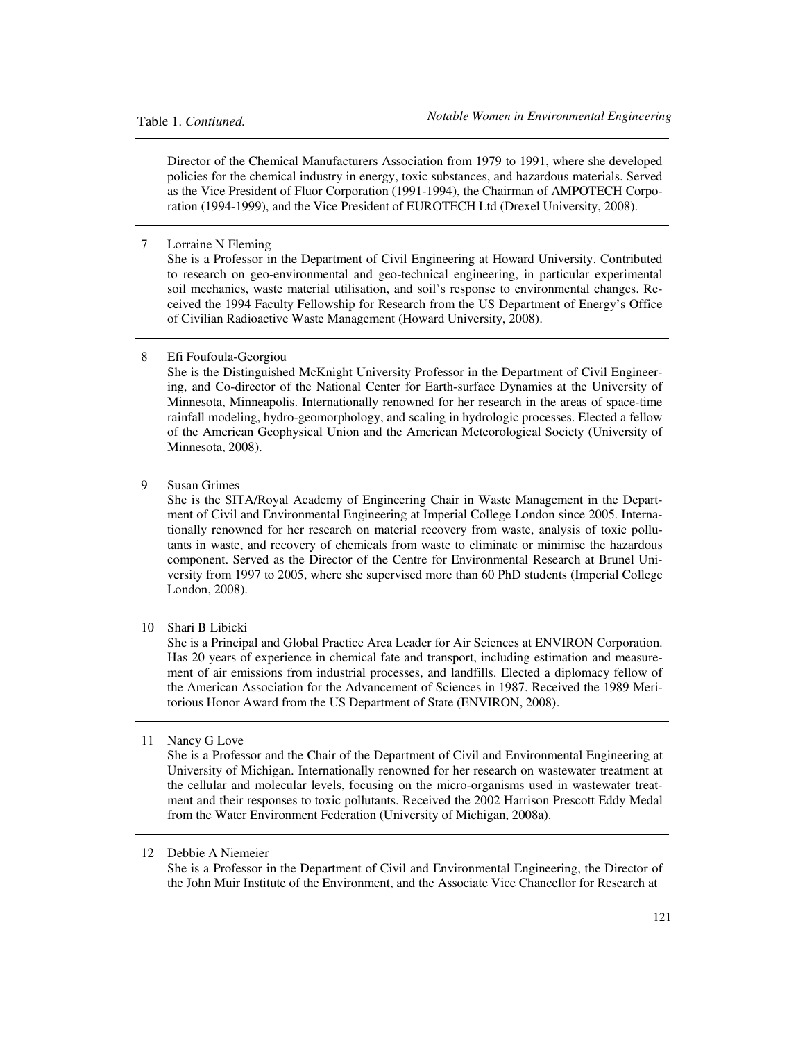Director of the Chemical Manufacturers Association from 1979 to 1991, where she developed policies for the chemical industry in energy, toxic substances, and hazardous materials. Served as the Vice President of Fluor Corporation (1991-1994), the Chairman of AMPOTECH Corporation (1994-1999), and the Vice President of EUROTECH Ltd (Drexel University, 2008).

7 Lorraine N Fleming

She is a Professor in the Department of Civil Engineering at Howard University. Contributed to research on geo-environmental and geo-technical engineering, in particular experimental soil mechanics, waste material utilisation, and soil's response to environmental changes. Received the 1994 Faculty Fellowship for Research from the US Department of Energy's Office of Civilian Radioactive Waste Management (Howard University, 2008).

#### 8 Efi Foufoula-Georgiou

She is the Distinguished McKnight University Professor in the Department of Civil Engineering, and Co-director of the National Center for Earth-surface Dynamics at the University of Minnesota, Minneapolis. Internationally renowned for her research in the areas of space-time rainfall modeling, hydro-geomorphology, and scaling in hydrologic processes. Elected a fellow of the American Geophysical Union and the American Meteorological Society (University of Minnesota, 2008).

9 Susan Grimes

She is the SITA/Royal Academy of Engineering Chair in Waste Management in the Department of Civil and Environmental Engineering at Imperial College London since 2005. Internationally renowned for her research on material recovery from waste, analysis of toxic pollutants in waste, and recovery of chemicals from waste to eliminate or minimise the hazardous component. Served as the Director of the Centre for Environmental Research at Brunel University from 1997 to 2005, where she supervised more than 60 PhD students (Imperial College London, 2008).

10 Shari B Libicki

She is a Principal and Global Practice Area Leader for Air Sciences at ENVIRON Corporation. Has 20 years of experience in chemical fate and transport, including estimation and measurement of air emissions from industrial processes, and landfills. Elected a diplomacy fellow of the American Association for the Advancement of Sciences in 1987. Received the 1989 Meritorious Honor Award from the US Department of State (ENVIRON, 2008).

11 Nancy G Love

She is a Professor and the Chair of the Department of Civil and Environmental Engineering at University of Michigan. Internationally renowned for her research on wastewater treatment at the cellular and molecular levels, focusing on the micro-organisms used in wastewater treatment and their responses to toxic pollutants. Received the 2002 Harrison Prescott Eddy Medal from the Water Environment Federation (University of Michigan, 2008a).

### 12 Debbie A Niemeier

She is a Professor in the Department of Civil and Environmental Engineering, the Director of the John Muir Institute of the Environment, and the Associate Vice Chancellor for Research at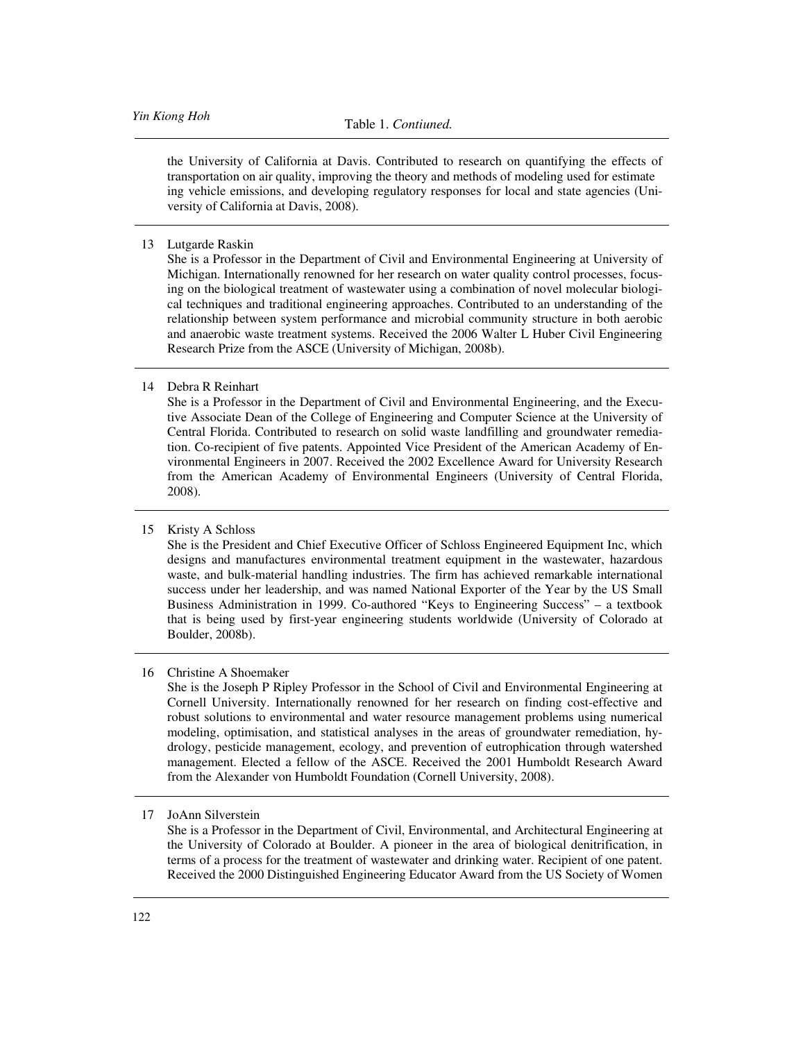the University of California at Davis. Contributed to research on quantifying the effects of transportation on air quality, improving the theory and methods of modeling used for estimate ing vehicle emissions, and developing regulatory responses for local and state agencies (University of California at Davis, 2008).

13 Lutgarde Raskin

She is a Professor in the Department of Civil and Environmental Engineering at University of Michigan. Internationally renowned for her research on water quality control processes, focusing on the biological treatment of wastewater using a combination of novel molecular biological techniques and traditional engineering approaches. Contributed to an understanding of the relationship between system performance and microbial community structure in both aerobic and anaerobic waste treatment systems. Received the 2006 Walter L Huber Civil Engineering Research Prize from the ASCE (University of Michigan, 2008b).

#### 14 Debra R Reinhart

She is a Professor in the Department of Civil and Environmental Engineering, and the Executive Associate Dean of the College of Engineering and Computer Science at the University of Central Florida. Contributed to research on solid waste landfilling and groundwater remediation. Co-recipient of five patents. Appointed Vice President of the American Academy of Environmental Engineers in 2007. Received the 2002 Excellence Award for University Research from the American Academy of Environmental Engineers (University of Central Florida, 2008).

## 15 Kristy A Schloss

She is the President and Chief Executive Officer of Schloss Engineered Equipment Inc, which designs and manufactures environmental treatment equipment in the wastewater, hazardous waste, and bulk-material handling industries. The firm has achieved remarkable international success under her leadership, and was named National Exporter of the Year by the US Small Business Administration in 1999. Co-authored "Keys to Engineering Success" – a textbook that is being used by first-year engineering students worldwide (University of Colorado at Boulder, 2008b).

## 16 Christine A Shoemaker

She is the Joseph P Ripley Professor in the School of Civil and Environmental Engineering at Cornell University. Internationally renowned for her research on finding cost-effective and robust solutions to environmental and water resource management problems using numerical modeling, optimisation, and statistical analyses in the areas of groundwater remediation, hydrology, pesticide management, ecology, and prevention of eutrophication through watershed management. Elected a fellow of the ASCE. Received the 2001 Humboldt Research Award from the Alexander von Humboldt Foundation (Cornell University, 2008).

She is a Professor in the Department of Civil, Environmental, and Architectural Engineering at the University of Colorado at Boulder. A pioneer in the area of biological denitrification, in terms of a process for the treatment of wastewater and drinking water. Recipient of one patent. Received the 2000 Distinguished Engineering Educator Award from the US Society of Women

<sup>17</sup> JoAnn Silverstein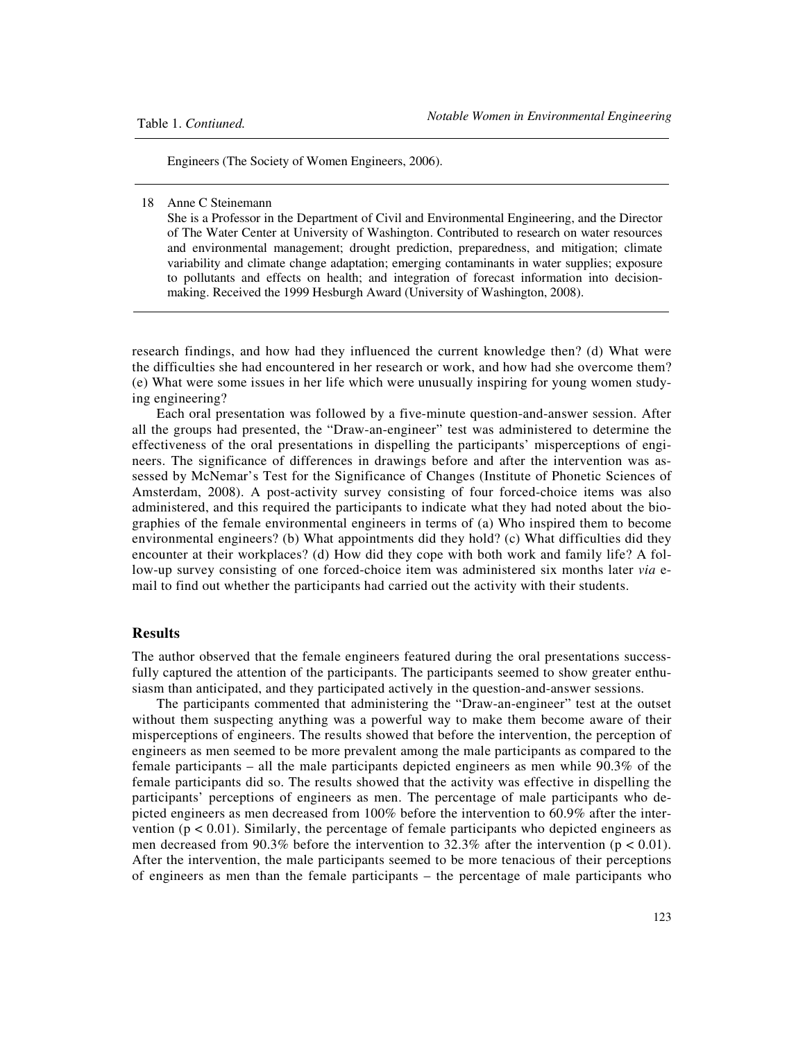Engineers (The Society of Women Engineers, 2006).

# 18 Anne C Steinemann

She is a Professor in the Department of Civil and Environmental Engineering, and the Director of The Water Center at University of Washington. Contributed to research on water resources and environmental management; drought prediction, preparedness, and mitigation; climate variability and climate change adaptation; emerging contaminants in water supplies; exposure to pollutants and effects on health; and integration of forecast information into decisionmaking. Received the 1999 Hesburgh Award (University of Washington, 2008).

research findings, and how had they influenced the current knowledge then? (d) What were the difficulties she had encountered in her research or work, and how had she overcome them? (e) What were some issues in her life which were unusually inspiring for young women studying engineering?

Each oral presentation was followed by a five-minute question-and-answer session. After all the groups had presented, the "Draw-an-engineer" test was administered to determine the effectiveness of the oral presentations in dispelling the participants' misperceptions of engineers. The significance of differences in drawings before and after the intervention was assessed by McNemar's Test for the Significance of Changes (Institute of Phonetic Sciences of Amsterdam, 2008). A post-activity survey consisting of four forced-choice items was also administered, and this required the participants to indicate what they had noted about the biographies of the female environmental engineers in terms of (a) Who inspired them to become environmental engineers? (b) What appointments did they hold? (c) What difficulties did they encounter at their workplaces? (d) How did they cope with both work and family life? A follow-up survey consisting of one forced-choice item was administered six months later *via* email to find out whether the participants had carried out the activity with their students.

# **Results**

The author observed that the female engineers featured during the oral presentations successfully captured the attention of the participants. The participants seemed to show greater enthusiasm than anticipated, and they participated actively in the question-and-answer sessions.

The participants commented that administering the "Draw-an-engineer" test at the outset without them suspecting anything was a powerful way to make them become aware of their misperceptions of engineers. The results showed that before the intervention, the perception of engineers as men seemed to be more prevalent among the male participants as compared to the female participants – all the male participants depicted engineers as men while 90.3% of the female participants did so. The results showed that the activity was effective in dispelling the participants' perceptions of engineers as men. The percentage of male participants who depicted engineers as men decreased from 100% before the intervention to 60.9% after the intervention  $(p < 0.01)$ . Similarly, the percentage of female participants who depicted engineers as men decreased from 90.3% before the intervention to 32.3% after the intervention ( $p < 0.01$ ). After the intervention, the male participants seemed to be more tenacious of their perceptions of engineers as men than the female participants – the percentage of male participants who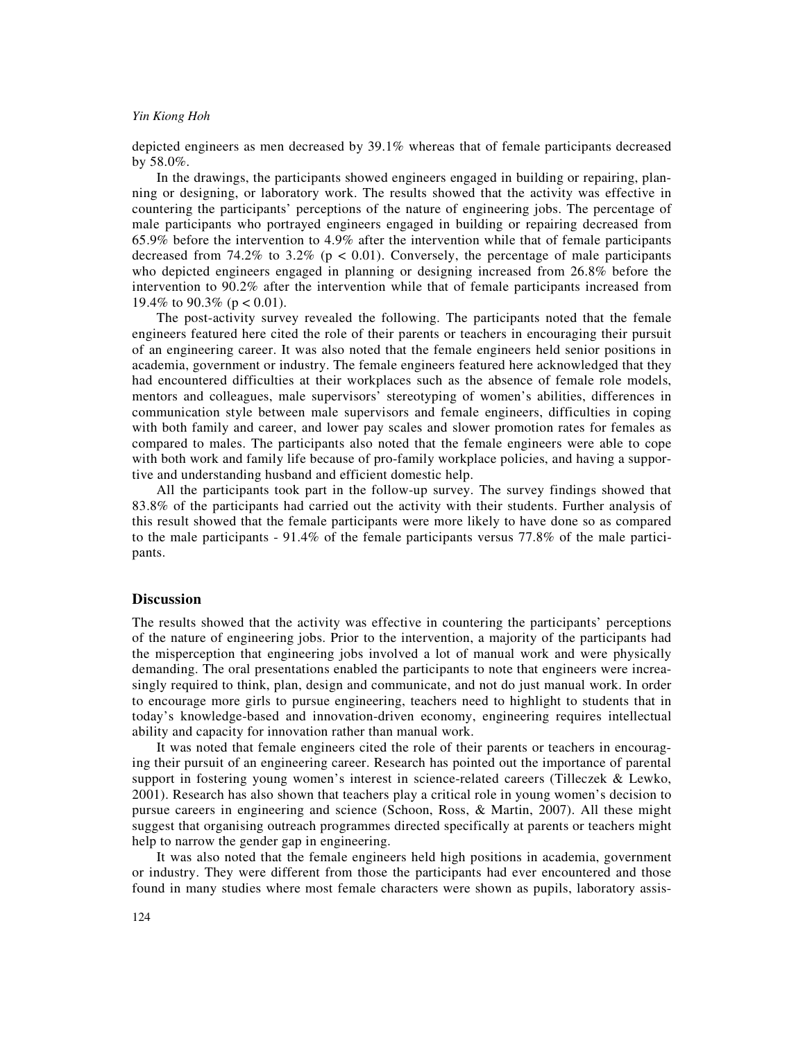depicted engineers as men decreased by 39.1% whereas that of female participants decreased by 58.0%.

In the drawings, the participants showed engineers engaged in building or repairing, planning or designing, or laboratory work. The results showed that the activity was effective in countering the participants' perceptions of the nature of engineering jobs. The percentage of male participants who portrayed engineers engaged in building or repairing decreased from 65.9% before the intervention to 4.9% after the intervention while that of female participants decreased from 74.2% to 3.2% ( $p < 0.01$ ). Conversely, the percentage of male participants who depicted engineers engaged in planning or designing increased from 26.8% before the intervention to 90.2% after the intervention while that of female participants increased from 19.4% to 90.3% ( $p < 0.01$ ).

The post-activity survey revealed the following. The participants noted that the female engineers featured here cited the role of their parents or teachers in encouraging their pursuit of an engineering career. It was also noted that the female engineers held senior positions in academia, government or industry. The female engineers featured here acknowledged that they had encountered difficulties at their workplaces such as the absence of female role models, mentors and colleagues, male supervisors' stereotyping of women's abilities, differences in communication style between male supervisors and female engineers, difficulties in coping with both family and career, and lower pay scales and slower promotion rates for females as compared to males. The participants also noted that the female engineers were able to cope with both work and family life because of pro-family workplace policies, and having a supportive and understanding husband and efficient domestic help.

All the participants took part in the follow-up survey. The survey findings showed that 83.8% of the participants had carried out the activity with their students. Further analysis of this result showed that the female participants were more likely to have done so as compared to the male participants - 91.4% of the female participants versus 77.8% of the male participants.

## **Discussion**

The results showed that the activity was effective in countering the participants' perceptions of the nature of engineering jobs. Prior to the intervention, a majority of the participants had the misperception that engineering jobs involved a lot of manual work and were physically demanding. The oral presentations enabled the participants to note that engineers were increasingly required to think, plan, design and communicate, and not do just manual work. In order to encourage more girls to pursue engineering, teachers need to highlight to students that in today's knowledge-based and innovation-driven economy, engineering requires intellectual ability and capacity for innovation rather than manual work.

It was noted that female engineers cited the role of their parents or teachers in encouraging their pursuit of an engineering career. Research has pointed out the importance of parental support in fostering young women's interest in science-related careers (Tilleczek & Lewko, 2001). Research has also shown that teachers play a critical role in young women's decision to pursue careers in engineering and science (Schoon, Ross, & Martin, 2007). All these might suggest that organising outreach programmes directed specifically at parents or teachers might help to narrow the gender gap in engineering.

It was also noted that the female engineers held high positions in academia, government or industry. They were different from those the participants had ever encountered and those found in many studies where most female characters were shown as pupils, laboratory assis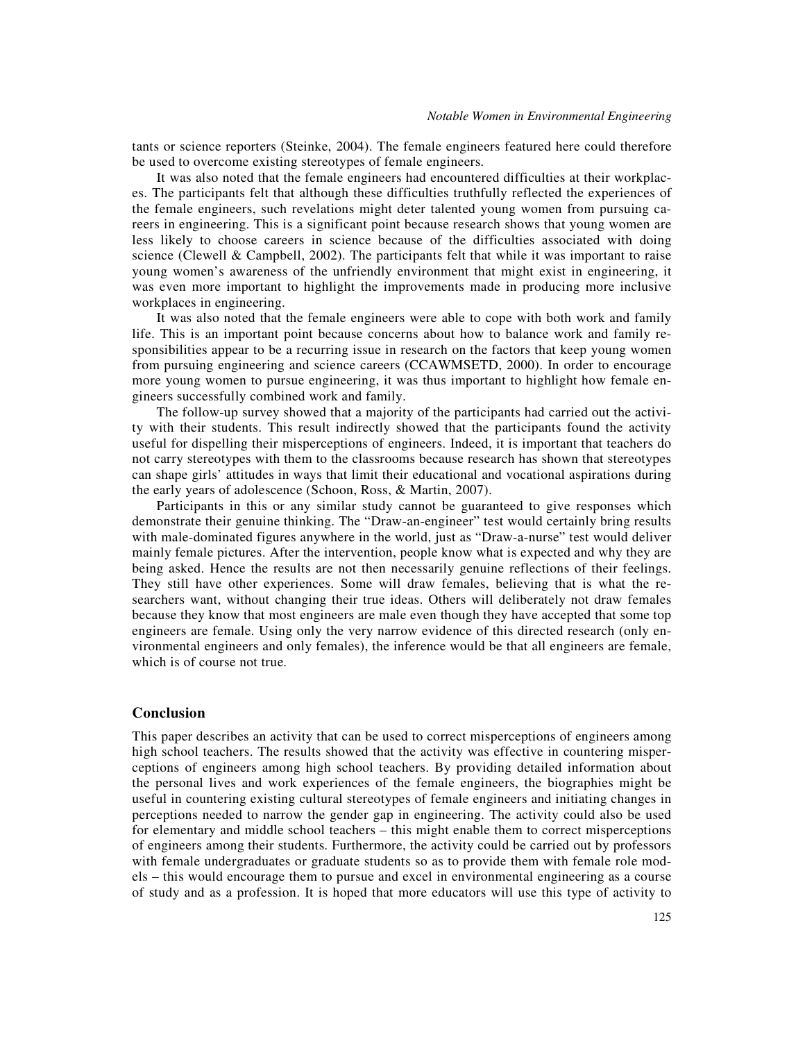tants or science reporters (Steinke, 2004). The female engineers featured here could therefore be used to overcome existing stereotypes of female engineers.

It was also noted that the female engineers had encountered difficulties at their workplaces. The participants felt that although these difficulties truthfully reflected the experiences of the female engineers, such revelations might deter talented young women from pursuing careers in engineering. This is a significant point because research shows that young women are less likely to choose careers in science because of the difficulties associated with doing science (Clewell & Campbell, 2002). The participants felt that while it was important to raise young women's awareness of the unfriendly environment that might exist in engineering, it was even more important to highlight the improvements made in producing more inclusive workplaces in engineering.

It was also noted that the female engineers were able to cope with both work and family life. This is an important point because concerns about how to balance work and family responsibilities appear to be a recurring issue in research on the factors that keep young women from pursuing engineering and science careers (CCAWMSETD, 2000). In order to encourage more young women to pursue engineering, it was thus important to highlight how female engineers successfully combined work and family.

The follow-up survey showed that a majority of the participants had carried out the activity with their students. This result indirectly showed that the participants found the activity useful for dispelling their misperceptions of engineers. Indeed, it is important that teachers do not carry stereotypes with them to the classrooms because research has shown that stereotypes can shape girls' attitudes in ways that limit their educational and vocational aspirations during the early years of adolescence (Schoon, Ross, & Martin, 2007).

Participants in this or any similar study cannot be guaranteed to give responses which demonstrate their genuine thinking. The "Draw-an-engineer" test would certainly bring results with male-dominated figures anywhere in the world, just as "Draw-a-nurse" test would deliver mainly female pictures. After the intervention, people know what is expected and why they are being asked. Hence the results are not then necessarily genuine reflections of their feelings. They still have other experiences. Some will draw females, believing that is what the researchers want, without changing their true ideas. Others will deliberately not draw females because they know that most engineers are male even though they have accepted that some top engineers are female. Using only the very narrow evidence of this directed research (only environmental engineers and only females), the inference would be that all engineers are female, which is of course not true.

## **Conclusion**

This paper describes an activity that can be used to correct misperceptions of engineers among high school teachers. The results showed that the activity was effective in countering misperceptions of engineers among high school teachers. By providing detailed information about the personal lives and work experiences of the female engineers, the biographies might be useful in countering existing cultural stereotypes of female engineers and initiating changes in perceptions needed to narrow the gender gap in engineering. The activity could also be used for elementary and middle school teachers – this might enable them to correct misperceptions of engineers among their students. Furthermore, the activity could be carried out by professors with female undergraduates or graduate students so as to provide them with female role models – this would encourage them to pursue and excel in environmental engineering as a course of study and as a profession. It is hoped that more educators will use this type of activity to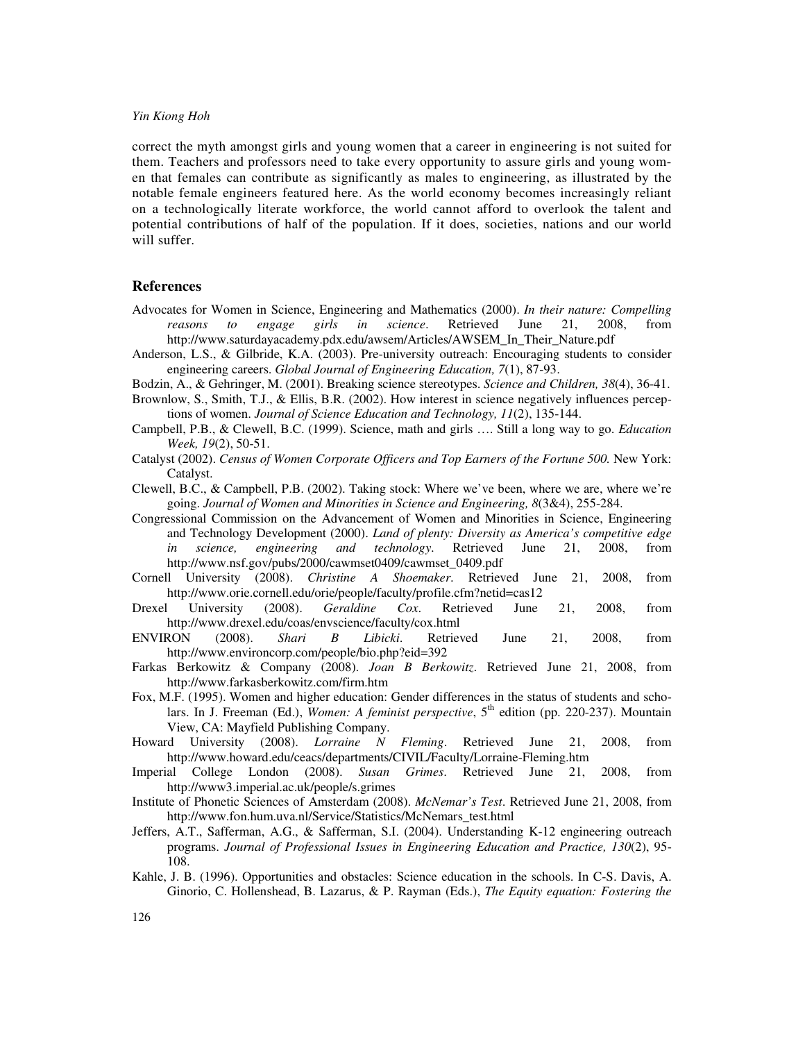correct the myth amongst girls and young women that a career in engineering is not suited for them. Teachers and professors need to take every opportunity to assure girls and young women that females can contribute as significantly as males to engineering, as illustrated by the notable female engineers featured here. As the world economy becomes increasingly reliant on a technologically literate workforce, the world cannot afford to overlook the talent and potential contributions of half of the population. If it does, societies, nations and our world will suffer.

## **References**

- Advocates for Women in Science, Engineering and Mathematics (2000). *In their nature: Compelling reasons to engage girls in science*. Retrieved June 21, 2008, from http://www.saturdayacademy.pdx.edu/awsem/Articles/AWSEM\_In\_Their\_Nature.pdf
- Anderson, L.S., & Gilbride, K.A. (2003). Pre-university outreach: Encouraging students to consider engineering careers. *Global Journal of Engineering Education, 7*(1), 87-93.
- Bodzin, A., & Gehringer, M. (2001). Breaking science stereotypes. *Science and Children, 38*(4), 36-41.
- Brownlow, S., Smith, T.J., & Ellis, B.R. (2002). How interest in science negatively influences perceptions of women. *Journal of Science Education and Technology, 11*(2), 135-144.
- Campbell, P.B., & Clewell, B.C. (1999). Science, math and girls …. Still a long way to go. *Education Week, 19*(2), 50-51.
- Catalyst (2002). *Census of Women Corporate Officers and Top Earners of the Fortune 500.* New York: Catalyst.
- Clewell, B.C., & Campbell, P.B. (2002). Taking stock: Where we've been, where we are, where we're going. *Journal of Women and Minorities in Science and Engineering, 8*(3&4), 255-284.
- Congressional Commission on the Advancement of Women and Minorities in Science, Engineering and Technology Development (2000). *Land of plenty: Diversity as America's competitive edge in science, engineering and technology*. Retrieved June 21, 2008, from http://www.nsf.gov/pubs/2000/cawmset0409/cawmset\_0409.pdf
- Cornell University (2008). *Christine A Shoemaker*. Retrieved June 21, 2008, from http://www.orie.cornell.edu/orie/people/faculty/profile.cfm?netid=cas12
- Drexel University (2008). *Geraldine Cox*. Retrieved June 21, 2008, from http://www.drexel.edu/coas/envscience/faculty/cox.html
- ENVIRON (2008). *Shari B Libicki*. Retrieved June 21, 2008, from http://www.environcorp.com/people/bio.php?eid=392
- Farkas Berkowitz & Company (2008). *Joan B Berkowitz*. Retrieved June 21, 2008, from http://www.farkasberkowitz.com/firm.htm
- Fox, M.F. (1995). Women and higher education: Gender differences in the status of students and scholars. In J. Freeman (Ed.), *Women: A feminist perspective*, 5<sup>th</sup> edition (pp. 220-237). Mountain View, CA: Mayfield Publishing Company.
- Howard University (2008). *Lorraine N Fleming*. Retrieved June 21, 2008, from http://www.howard.edu/ceacs/departments/CIVIL/Faculty/Lorraine-Fleming.htm
- Imperial College London (2008). *Susan Grimes*. Retrieved June 21, 2008, from http://www3.imperial.ac.uk/people/s.grimes
- Institute of Phonetic Sciences of Amsterdam (2008). *McNemar's Test*. Retrieved June 21, 2008, from http://www.fon.hum.uva.nl/Service/Statistics/McNemars\_test.html
- Jeffers, A.T., Safferman, A.G., & Safferman, S.I. (2004). Understanding K-12 engineering outreach programs. *Journal of Professional Issues in Engineering Education and Practice, 130*(2), 95- 108.
- Kahle, J. B. (1996). Opportunities and obstacles: Science education in the schools. In C-S. Davis, A. Ginorio, C. Hollenshead, B. Lazarus, & P. Rayman (Eds.), *The Equity equation: Fostering the*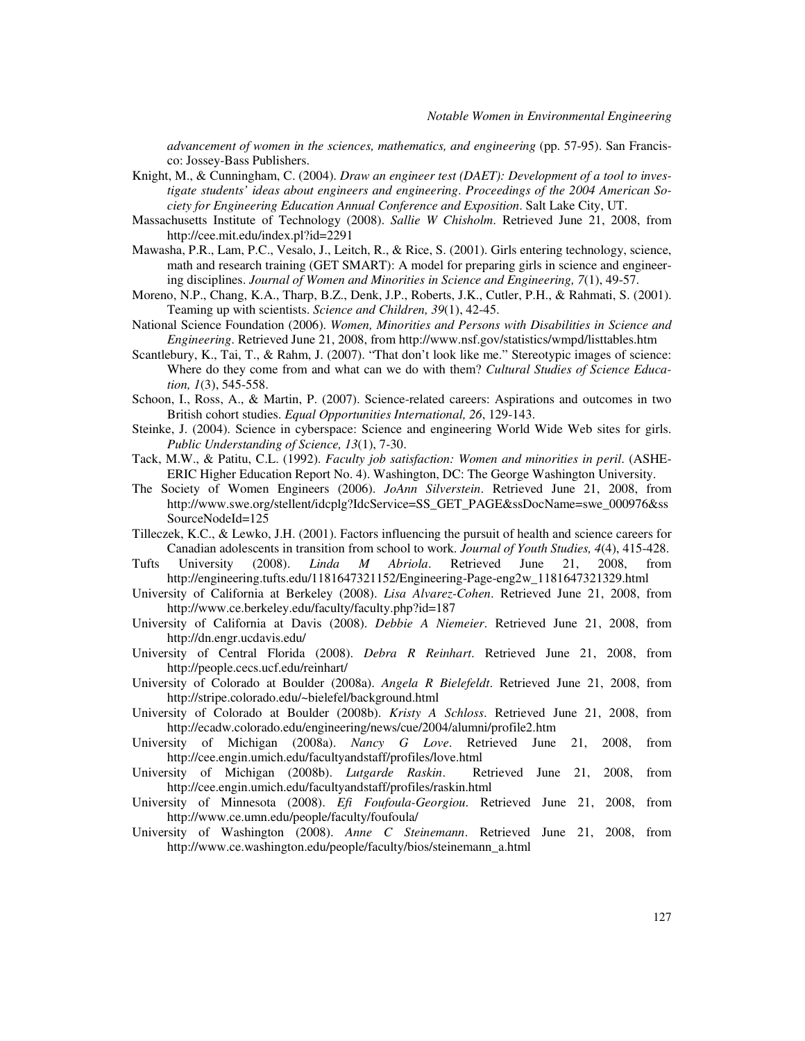*advancement of women in the sciences, mathematics, and engineering* (pp. 57-95). San Francisco: Jossey-Bass Publishers.

- Knight, M., & Cunningham, C. (2004). *Draw an engineer test (DAET): Development of a tool to investigate students' ideas about engineers and engineering*. *Proceedings of the 2004 American Society for Engineering Education Annual Conference and Exposition*. Salt Lake City, UT.
- Massachusetts Institute of Technology (2008). *Sallie W Chisholm*. Retrieved June 21, 2008, from http://cee.mit.edu/index.pl?id=2291
- Mawasha, P.R., Lam, P.C., Vesalo, J., Leitch, R., & Rice, S. (2001). Girls entering technology, science, math and research training (GET SMART): A model for preparing girls in science and engineering disciplines. *Journal of Women and Minorities in Science and Engineering, 7*(1), 49-57.
- Moreno, N.P., Chang, K.A., Tharp, B.Z., Denk, J.P., Roberts, J.K., Cutler, P.H., & Rahmati, S. (2001). Teaming up with scientists. *Science and Children, 39*(1), 42-45.
- National Science Foundation (2006). *Women, Minorities and Persons with Disabilities in Science and Engineering*. Retrieved June 21, 2008, from http://www.nsf.gov/statistics/wmpd/listtables.htm
- Scantlebury, K., Tai, T., & Rahm, J. (2007). "That don't look like me." Stereotypic images of science: Where do they come from and what can we do with them? *Cultural Studies of Science Education, 1*(3), 545-558.
- Schoon, I., Ross, A., & Martin, P. (2007). Science-related careers: Aspirations and outcomes in two British cohort studies. *Equal Opportunities International, 26*, 129-143.
- Steinke, J. (2004). Science in cyberspace: Science and engineering World Wide Web sites for girls. *Public Understanding of Science, 13*(1), 7-30.
- Tack, M.W., & Patitu, C.L. (1992). *Faculty job satisfaction: Women and minorities in peril*. (ASHE-ERIC Higher Education Report No. 4). Washington, DC: The George Washington University.
- The Society of Women Engineers (2006). *JoAnn Silverstein*. Retrieved June 21, 2008, from http://www.swe.org/stellent/idcplg?IdcService=SS\_GET\_PAGE&ssDocName=swe\_000976&ss SourceNodeId=125
- Tilleczek, K.C., & Lewko, J.H. (2001). Factors influencing the pursuit of health and science careers for Canadian adolescents in transition from school to work. *Journal of Youth Studies, 4*(4), 415-428.
- Tufts University (2008). *Linda M Abriola*. Retrieved June 21, 2008, from http://engineering.tufts.edu/1181647321152/Engineering-Page-eng2w\_1181647321329.html
- University of California at Berkeley (2008). *Lisa Alvarez-Cohen*. Retrieved June 21, 2008, from http://www.ce.berkeley.edu/faculty/faculty.php?id=187
- University of California at Davis (2008). *Debbie A Niemeier*. Retrieved June 21, 2008, from http://dn.engr.ucdavis.edu/
- University of Central Florida (2008). *Debra R Reinhart*. Retrieved June 21, 2008, from http://people.cecs.ucf.edu/reinhart/
- University of Colorado at Boulder (2008a). *Angela R Bielefeldt*. Retrieved June 21, 2008, from http://stripe.colorado.edu/~bielefel/background.html
- University of Colorado at Boulder (2008b). *Kristy A Schloss*. Retrieved June 21, 2008, from http://ecadw.colorado.edu/engineering/news/cue/2004/alumni/profile2.htm
- University of Michigan (2008a). *Nancy G Love*. Retrieved June 21, 2008, from http://cee.engin.umich.edu/facultyandstaff/profiles/love.html
- University of Michigan (2008b). *Lutgarde Raskin*. Retrieved June 21, 2008, from http://cee.engin.umich.edu/facultyandstaff/profiles/raskin.html
- University of Minnesota (2008). *Efi Foufoula-Georgiou*. Retrieved June 21, 2008, from http://www.ce.umn.edu/people/faculty/foufoula/
- University of Washington (2008). *Anne C Steinemann*. Retrieved June 21, 2008, from http://www.ce.washington.edu/people/faculty/bios/steinemann\_a.html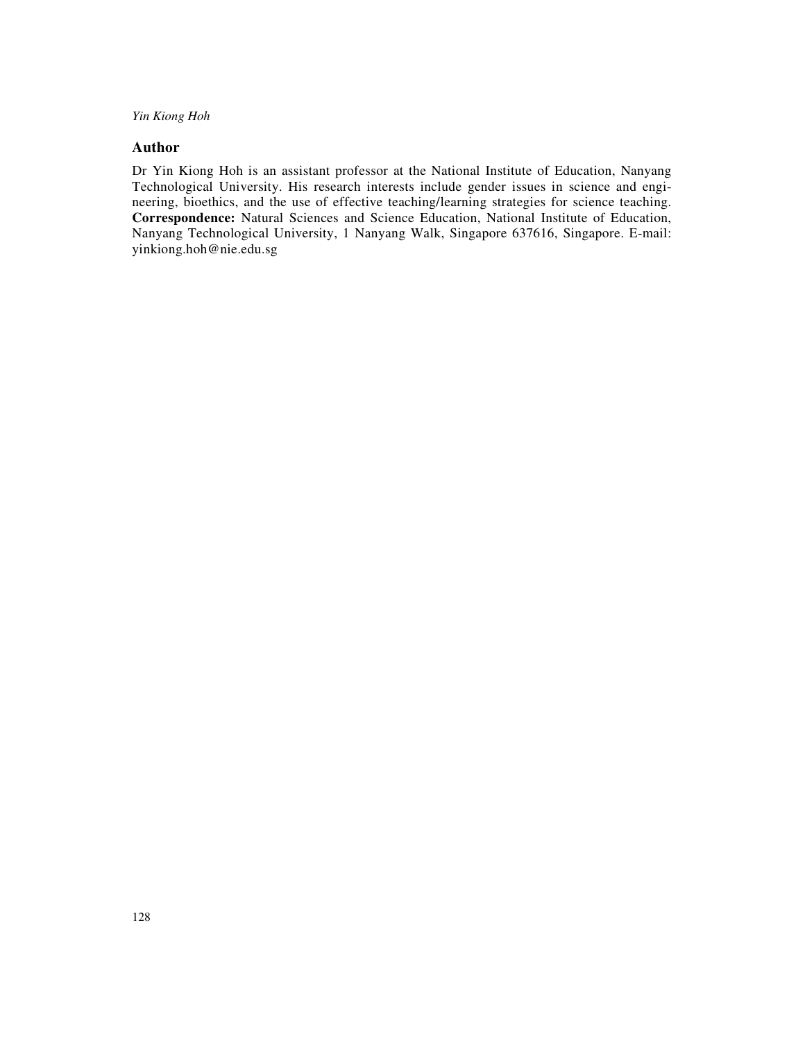# **Author**

Dr Yin Kiong Hoh is an assistant professor at the National Institute of Education, Nanyang Technological University. His research interests include gender issues in science and engineering, bioethics, and the use of effective teaching/learning strategies for science teaching. **Correspondence:** Natural Sciences and Science Education, National Institute of Education, Nanyang Technological University, 1 Nanyang Walk, Singapore 637616, Singapore. E-mail: yinkiong.hoh@nie.edu.sg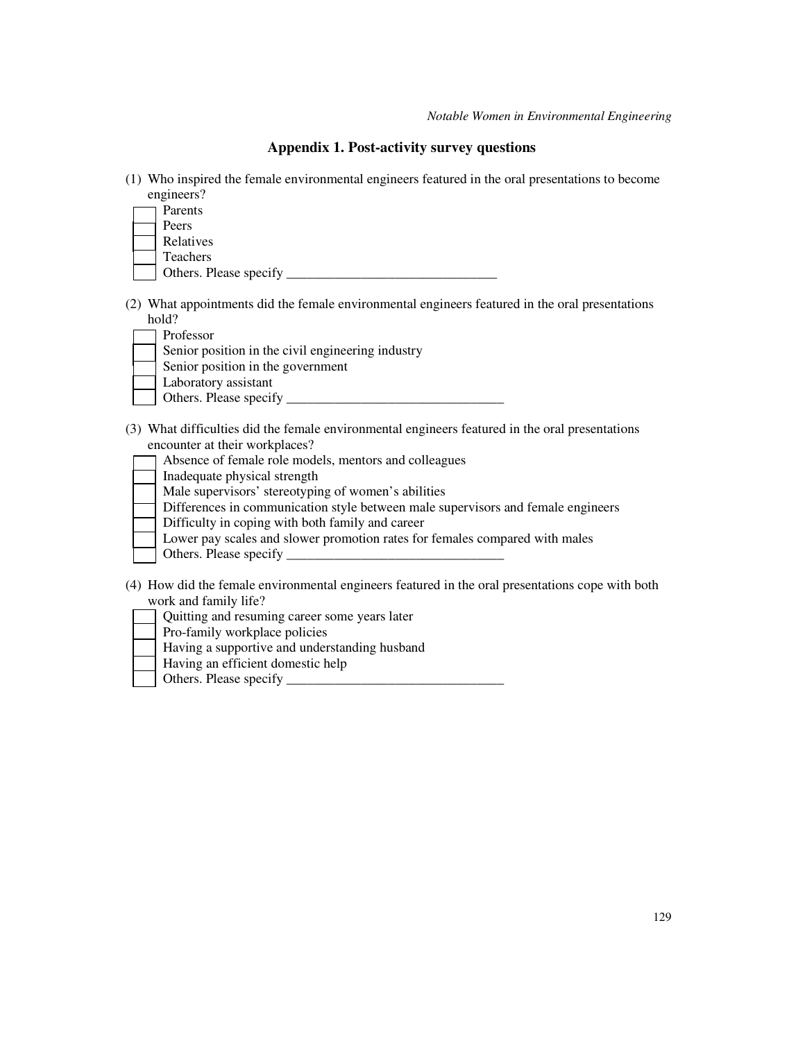# **Appendix 1. Post-activity survey questions**

(1) Who inspired the female environmental engineers featured in the oral presentations to become engineers?

| Parents                |  |
|------------------------|--|
| Peers                  |  |
| Relatives              |  |
| <b>Teachers</b>        |  |
| Others. Please specify |  |

(2) What appointments did the female environmental engineers featured in the oral presentations hold?

| Professor                                         |
|---------------------------------------------------|
| Senior position in the civil engineering industry |
| Senior position in the government                 |
| Laboratory assistant                              |
| Others. Please specify                            |

- (3) What difficulties did the female environmental engineers featured in the oral presentations encounter at their workplaces?
	- Absence of female role models, mentors and colleagues
	- Inadequate physical strength
	- Male supervisors' stereotyping of women's abilities
	- Differences in communication style between male supervisors and female engineers
	- Difficulty in coping with both family and career
	- Lower pay scales and slower promotion rates for females compared with males
	- Others. Please specify \_\_\_\_\_\_\_\_\_\_\_\_\_\_\_\_\_\_\_\_\_\_\_\_\_\_\_\_\_\_\_\_
- (4) How did the female environmental engineers featured in the oral presentations cope with both work and family life?
	- Quitting and resuming career some years later
	- Pro-family workplace policies
	- Having a supportive and understanding husband
	- Having an efficient domestic help
	- Others. Please specify \_\_\_\_\_\_\_\_\_\_\_\_\_\_\_\_\_\_\_\_\_\_\_\_\_\_\_\_\_\_\_\_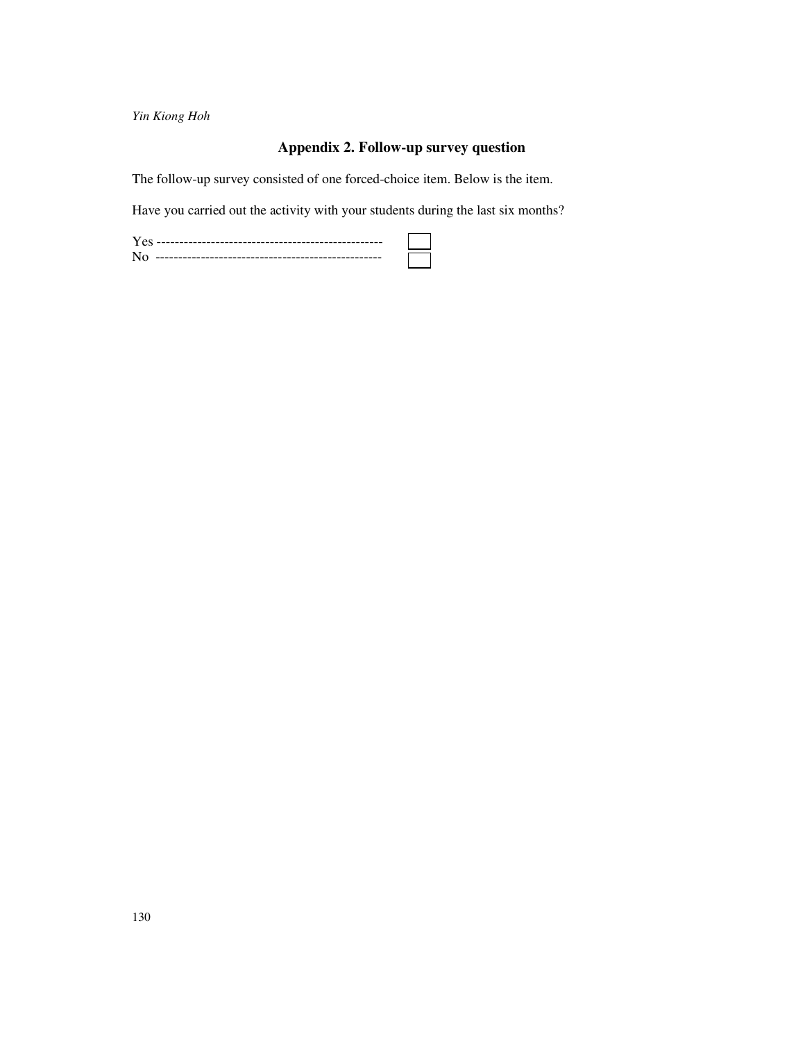# **Appendix 2. Follow-up survey question**

 $\overline{\phantom{0}}$ 

The follow-up survey consisted of one forced-choice item. Below is the item.

Have you carried out the activity with your students during the last six months?

| ------------------------------------<br>$--$ |
|----------------------------------------------|